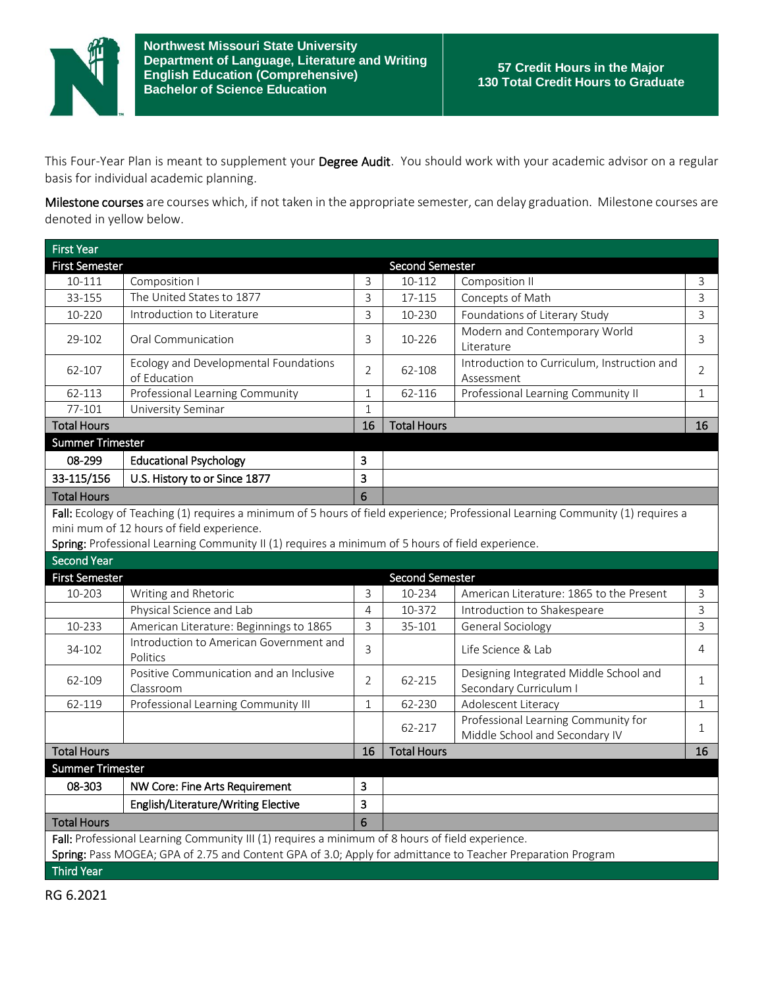

This Four-Year Plan is meant to supplement your Degree Audit. You should work with your academic advisor on a regular basis for individual academic planning.

Milestone courses are courses which, if not taken in the appropriate semester, can delay graduation. Milestone courses are denoted in yellow below.

| <b>First Year</b>                                                                                                               |                                                                                                             |                |                    |                                                                       |                |  |  |  |  |
|---------------------------------------------------------------------------------------------------------------------------------|-------------------------------------------------------------------------------------------------------------|----------------|--------------------|-----------------------------------------------------------------------|----------------|--|--|--|--|
| <b>First Semester</b>                                                                                                           |                                                                                                             |                | Second Semester    |                                                                       |                |  |  |  |  |
| 10-111                                                                                                                          | Composition I                                                                                               | 3              | 10-112             | Composition II                                                        | 3              |  |  |  |  |
| 33-155                                                                                                                          | The United States to 1877                                                                                   | 3              | 17-115             | Concepts of Math                                                      | $\overline{3}$ |  |  |  |  |
| 10-220                                                                                                                          | Introduction to Literature                                                                                  | $\overline{3}$ | 10-230             | Foundations of Literary Study                                         | $\overline{3}$ |  |  |  |  |
| 29-102                                                                                                                          | Oral Communication                                                                                          | 3              | 10-226             | Modern and Contemporary World<br>Literature                           | 3              |  |  |  |  |
| 62-107                                                                                                                          | Ecology and Developmental Foundations<br>of Education                                                       | $\overline{2}$ | 62-108             | Introduction to Curriculum, Instruction and<br>Assessment             | 2              |  |  |  |  |
| 62-113                                                                                                                          | Professional Learning Community                                                                             | $\mathbf{1}$   | 62-116             | Professional Learning Community II                                    | $\mathbf{1}$   |  |  |  |  |
| 77-101                                                                                                                          | University Seminar                                                                                          | $\mathbf{1}$   |                    |                                                                       |                |  |  |  |  |
| <b>Total Hours</b>                                                                                                              |                                                                                                             | 16             | <b>Total Hours</b> |                                                                       | 16             |  |  |  |  |
| <b>Summer Trimester</b>                                                                                                         |                                                                                                             |                |                    |                                                                       |                |  |  |  |  |
| 08-299                                                                                                                          | <b>Educational Psychology</b>                                                                               | 3              |                    |                                                                       |                |  |  |  |  |
| 33-115/156                                                                                                                      | U.S. History to or Since 1877                                                                               | 3              |                    |                                                                       |                |  |  |  |  |
| <b>Total Hours</b>                                                                                                              |                                                                                                             | 6              |                    |                                                                       |                |  |  |  |  |
| Fall: Ecology of Teaching (1) requires a minimum of 5 hours of field experience; Professional Learning Community (1) requires a |                                                                                                             |                |                    |                                                                       |                |  |  |  |  |
|                                                                                                                                 | mini mum of 12 hours of field experience.                                                                   |                |                    |                                                                       |                |  |  |  |  |
|                                                                                                                                 | Spring: Professional Learning Community II (1) requires a minimum of 5 hours of field experience.           |                |                    |                                                                       |                |  |  |  |  |
| <b>Second Year</b>                                                                                                              |                                                                                                             |                |                    |                                                                       |                |  |  |  |  |
| <b>First Semester</b>                                                                                                           |                                                                                                             |                | Second Semester    |                                                                       |                |  |  |  |  |
| 10-203                                                                                                                          | Writing and Rhetoric                                                                                        | 3              | 10-234             | American Literature: 1865 to the Present                              | 3              |  |  |  |  |
|                                                                                                                                 | Physical Science and Lab                                                                                    | $\overline{4}$ | 10-372             | Introduction to Shakespeare                                           | $\mathsf{3}$   |  |  |  |  |
| 10-233                                                                                                                          | American Literature: Beginnings to 1865                                                                     | 3              | 35-101             | <b>General Sociology</b>                                              | $\overline{3}$ |  |  |  |  |
| 34-102                                                                                                                          | Introduction to American Government and<br>Politics                                                         | 3              |                    | Life Science & Lab                                                    | 4              |  |  |  |  |
| 62-109                                                                                                                          | Positive Communication and an Inclusive<br>Classroom                                                        | $\overline{2}$ | 62-215             | Designing Integrated Middle School and<br>Secondary Curriculum I      | 1              |  |  |  |  |
| 62-119                                                                                                                          | Professional Learning Community III                                                                         | 1              | 62-230             | Adolescent Literacy                                                   | $\mathbf{1}$   |  |  |  |  |
|                                                                                                                                 |                                                                                                             |                | 62-217             | Professional Learning Community for<br>Middle School and Secondary IV | 1              |  |  |  |  |
| <b>Total Hours</b>                                                                                                              |                                                                                                             | 16             | <b>Total Hours</b> |                                                                       | 16             |  |  |  |  |
| <b>Summer Trimester</b>                                                                                                         |                                                                                                             |                |                    |                                                                       |                |  |  |  |  |
| 08-303                                                                                                                          | NW Core: Fine Arts Requirement                                                                              | $\overline{3}$ |                    |                                                                       |                |  |  |  |  |
|                                                                                                                                 | English/Literature/Writing Elective                                                                         | $\overline{3}$ |                    |                                                                       |                |  |  |  |  |
| <b>Total Hours</b>                                                                                                              |                                                                                                             | 6              |                    |                                                                       |                |  |  |  |  |
| Fall: Professional Learning Community III (1) requires a minimum of 8 hours of field experience.                                |                                                                                                             |                |                    |                                                                       |                |  |  |  |  |
|                                                                                                                                 | Spring: Pass MOGEA; GPA of 2.75 and Content GPA of 3.0; Apply for admittance to Teacher Preparation Program |                |                    |                                                                       |                |  |  |  |  |
| <b>Third Year</b>                                                                                                               |                                                                                                             |                |                    |                                                                       |                |  |  |  |  |

RG 6.2021